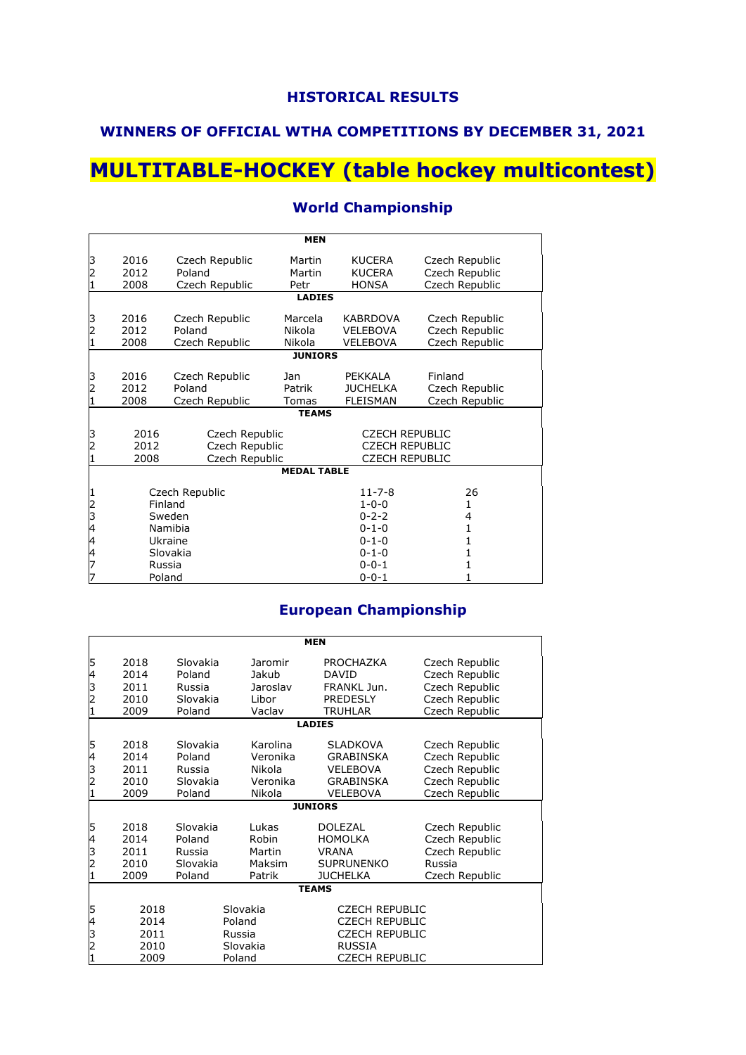### **WINNERS OF OFFICIAL WTHA COMPETITIONS BY DECEMBER 31, 2021**

# **MULTITABLE-HOCKEY (table hockey multicontest)**

|                    | <b>MEN</b>                                                                 |                                            |                             |                                                                         |                                                    |  |  |  |
|--------------------|----------------------------------------------------------------------------|--------------------------------------------|-----------------------------|-------------------------------------------------------------------------|----------------------------------------------------|--|--|--|
| 3<br>2<br>1        | 2016<br>2012<br>2008                                                       | Czech Republic<br>Poland<br>Czech Republic | Martin<br>Martin<br>Petr    | <b>KUCERA</b><br><b>KUCERA</b><br><b>HONSA</b>                          | Czech Republic<br>Czech Republic<br>Czech Republic |  |  |  |
|                    |                                                                            |                                            | <b>LADIES</b>               |                                                                         |                                                    |  |  |  |
| 3<br>2<br>1        | 2016<br>2012<br>2008                                                       | Czech Republic<br>Poland<br>Czech Republic | Marcela<br>Nikola<br>Nikola | <b>KABRDOVA</b><br><b>VELEBOVA</b><br><b>VELEBOVA</b>                   | Czech Republic<br>Czech Republic<br>Czech Republic |  |  |  |
|                    | <b>JUNIORS</b>                                                             |                                            |                             |                                                                         |                                                    |  |  |  |
| 3<br>2<br>1        | 2016<br>2012<br>2008                                                       | Czech Republic<br>Poland<br>Czech Republic | Jan<br>Patrik<br>Tomas      | PEKKALA<br><b>JUCHELKA</b><br><b>FLEISMAN</b>                           | Finland<br>Czech Republic<br>Czech Republic        |  |  |  |
|                    |                                                                            |                                            | <b>TEAMS</b>                |                                                                         |                                                    |  |  |  |
| $\frac{3}{2}$<br>1 | 2016<br>Czech Republic<br>Czech Republic<br>2012<br>Czech Republic<br>2008 |                                            |                             | <b>CZECH REPUBLIC</b><br><b>CZECH REPUBLIC</b><br><b>CZECH REPUBLIC</b> |                                                    |  |  |  |
|                    |                                                                            |                                            | <b>MEDAL TABLE</b>          |                                                                         |                                                    |  |  |  |
| 1234447            | Czech Republic<br>Finland                                                  |                                            |                             | $11 - 7 - 8$<br>$1 - 0 - 0$                                             | 26<br>1                                            |  |  |  |
|                    | Sweden<br>Namibia                                                          |                                            |                             | $0 - 2 - 2$<br>$0 - 1 - 0$                                              | 4<br>1                                             |  |  |  |
|                    |                                                                            | Ukraine                                    |                             | $0 - 1 - 0$                                                             | 1                                                  |  |  |  |
|                    |                                                                            | Slovakia                                   |                             | $0 - 1 - 0$                                                             | 1                                                  |  |  |  |
| 7                  | Russia<br>Poland                                                           |                                            |                             | $0 - 0 - 1$<br>$0 - 0 - 1$                                              | 1                                                  |  |  |  |

#### **World Championship**

#### **European Championship**

| Slovakia<br>Poland<br>Russia                       | Jaromir<br>Jakub                                     | PROCHAZKA<br><b>DAVID</b>                                                                     | Czech Republic                                                                         |  |  |  |  |  |
|----------------------------------------------------|------------------------------------------------------|-----------------------------------------------------------------------------------------------|----------------------------------------------------------------------------------------|--|--|--|--|--|
| Slovakia<br>Poland                                 | Jaroslav<br>Libor<br>Vaclav                          | FRANKL Jun.<br><b>PREDESLY</b><br><b>TRUHLAR</b>                                              | Czech Republic<br>Czech Republic<br>Czech Republic<br>Czech Republic                   |  |  |  |  |  |
|                                                    |                                                      |                                                                                               |                                                                                        |  |  |  |  |  |
| Slovakia<br>Poland<br>Russia<br>Slovakia<br>Poland | Karolina<br>Veronika<br>Nikola<br>Veronika<br>Nikola | <b>SLADKOVA</b><br><b>GRABINSKA</b><br><b>VELEBOVA</b><br><b>GRABINSKA</b><br><b>VELEBOVA</b> | Czech Republic<br>Czech Republic<br>Czech Republic<br>Czech Republic<br>Czech Republic |  |  |  |  |  |
|                                                    |                                                      |                                                                                               |                                                                                        |  |  |  |  |  |
| Slovakia<br>Poland<br>Russia<br>Slovakia<br>Poland | Lukas<br>Robin<br>Martin<br>Maksim<br>Patrik         | <b>DOLEZAL</b><br><b>HOMOLKA</b><br><b>VRANA</b><br><b>SUPRUNENKO</b><br><b>JUCHELKA</b>      | Czech Republic<br>Czech Republic<br>Czech Republic<br>Russia<br>Czech Republic         |  |  |  |  |  |
|                                                    |                                                      |                                                                                               |                                                                                        |  |  |  |  |  |
|                                                    |                                                      | <b>CZECH REPUBLIC</b><br><b>CZECH REPUBLIC</b><br><b>CZECH REPUBLIC</b><br><b>RUSSIA</b>      |                                                                                        |  |  |  |  |  |
|                                                    |                                                      | Slovakia<br>Poland<br>Russia<br>Slovakia<br>Poland                                            | <b>LADIES</b><br><b>JUNIORS</b><br><b>TEAMS</b><br><b>CZECH REPUBLIC</b>               |  |  |  |  |  |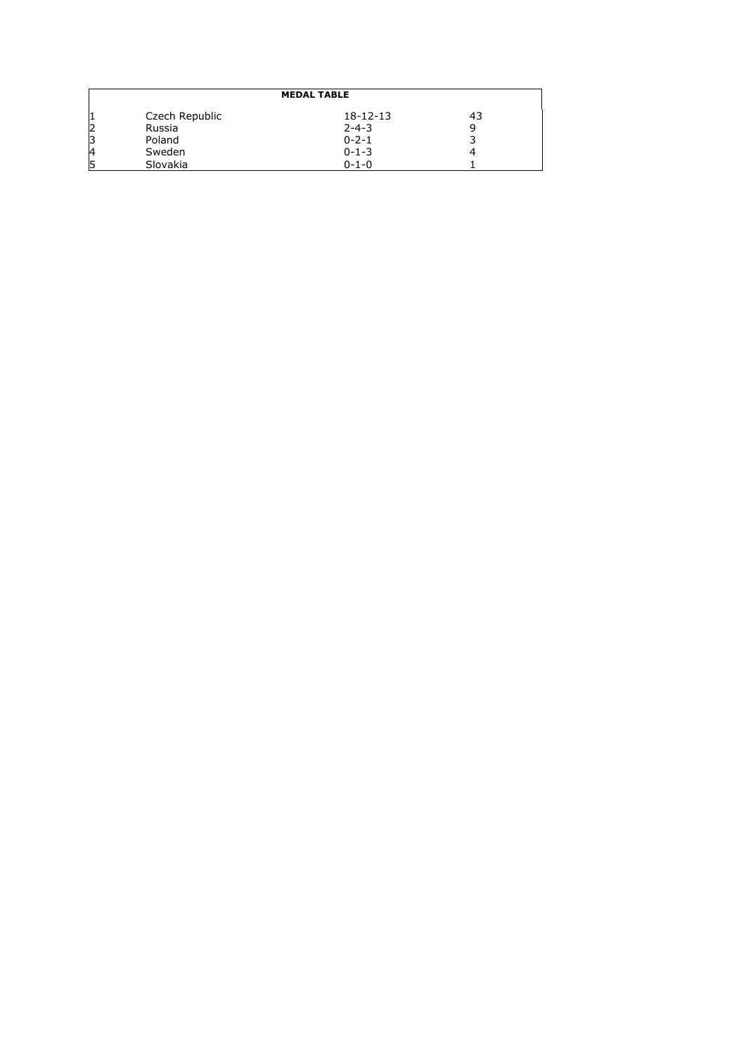|    | <b>MEDAL TABLE</b> |             |    |  |  |  |  |  |
|----|--------------------|-------------|----|--|--|--|--|--|
|    | Czech Republic     | 18-12-13    | 43 |  |  |  |  |  |
|    | Russia             | $2 - 4 - 3$ |    |  |  |  |  |  |
|    | Poland             | $0 - 2 - 1$ |    |  |  |  |  |  |
| 4  | Sweden             | $0 - 1 - 3$ |    |  |  |  |  |  |
| 15 | Slovakia           | $0 - 1 - 0$ |    |  |  |  |  |  |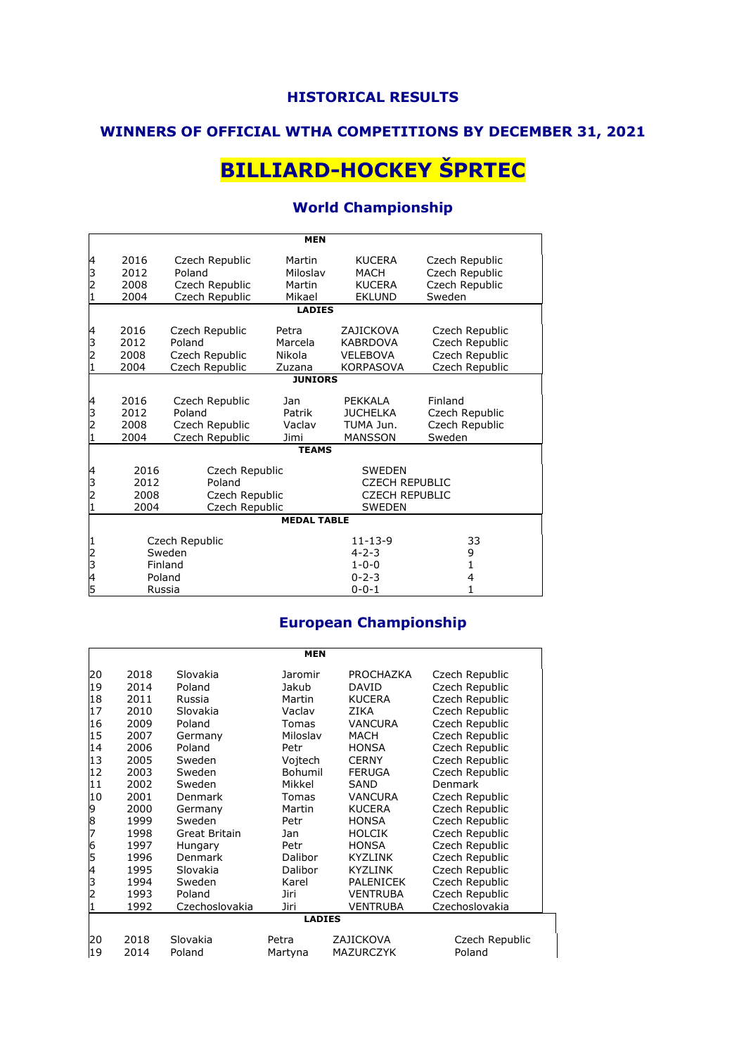## **WINNERS OF OFFICIAL WTHA COMPETITIONS BY DECEMBER 31, 2021**

# **BILLIARD-HOCKEY ŠPRTEC**

### **World Championship**

|                         |              |                                  | <b>MEN</b>         |                                        |                                  |
|-------------------------|--------------|----------------------------------|--------------------|----------------------------------------|----------------------------------|
| 4<br>3                  | 2016<br>2012 | Czech Republic<br>Poland         | Martin<br>Miloslav | <b>KUCERA</b><br>MACH                  | Czech Republic<br>Czech Republic |
| $\overline{c}$          | 2008         | Czech Republic                   | Martin             | <b>KUCERA</b>                          | Czech Republic                   |
| 1                       | 2004         | Czech Republic                   | Mikael             | <b>EKLUND</b>                          | Sweden                           |
|                         |              |                                  | <b>LADIES</b>      |                                        |                                  |
| 4<br>3                  | 2016<br>2012 | Czech Republic<br>Poland         | Petra<br>Marcela   | ZAJICKOVA<br><b>KABRDOVA</b>           | Czech Republic<br>Czech Republic |
| 2                       | 2008         | Czech Republic                   | Nikola             | <b>VELEBOVA</b>                        | Czech Republic                   |
|                         | 2004         | Czech Republic                   | Zuzana             | <b>KORPASOVA</b>                       | Czech Republic                   |
|                         |              |                                  | <b>JUNIORS</b>     |                                        |                                  |
| 4<br>3                  | 2016<br>2012 | Czech Republic<br>Poland         | Jan<br>Patrik      | PEKKALA<br><b>JUCHELKA</b>             | Finland<br>Czech Republic        |
| 2                       | 2008<br>2004 | Czech Republic<br>Czech Republic | Vaclav<br>Jimi     | TUMA Jun.<br><b>MANSSON</b>            | Czech Republic<br>Sweden         |
|                         |              |                                  | <b>TEAMS</b>       |                                        |                                  |
|                         |              |                                  |                    |                                        |                                  |
| 4                       | 2016         | Czech Republic                   |                    | <b>SWEDEN</b>                          |                                  |
| З                       | 2012         | Poland                           |                    | <b>CZECH REPUBLIC</b>                  |                                  |
| 2                       | 2008<br>2004 | Czech Republic                   |                    | <b>CZECH REPUBLIC</b><br><b>SWEDEN</b> |                                  |
|                         |              | Czech Republic                   | <b>MEDAL TABLE</b> |                                        |                                  |
|                         |              |                                  |                    |                                        |                                  |
|                         |              | Czech Republic                   |                    | $11 - 13 - 9$                          | 33                               |
| $\overline{\mathbf{c}}$ |              | Sweden                           |                    | $4 - 2 - 3$                            | 9                                |
| 3                       |              | Finland                          |                    | $1 - 0 - 0$                            | 1                                |
| 4                       |              | Poland                           |                    | $0 - 2 - 3$                            | 4                                |
| 5                       |              | Russia                           |                    | $0 - 0 - 1$                            | 1                                |

## **European Championship**

|                | <b>MEN</b> |                |                |                  |                |  |  |
|----------------|------------|----------------|----------------|------------------|----------------|--|--|
| 20             | 2018       | Slovakia       | Jaromir        | <b>PROCHAZKA</b> | Czech Republic |  |  |
| 19             | 2014       | Poland         | Jakub          | <b>DAVID</b>     | Czech Republic |  |  |
| 18             | 2011       | Russia         | Martin         | <b>KUCERA</b>    | Czech Republic |  |  |
| 17             | 2010       | Slovakia       | Vaclav         | <b>ZIKA</b>      | Czech Republic |  |  |
| 16             | 2009       | Poland         | Tomas          | <b>VANCURA</b>   | Czech Republic |  |  |
| 15             | 2007       | Germany        | Miloslav       | <b>MACH</b>      | Czech Republic |  |  |
| 14             | 2006       | Poland         | Petr           | <b>HONSA</b>     | Czech Republic |  |  |
| 13             | 2005       | Sweden         | Vojtech        | <b>CERNY</b>     | Czech Republic |  |  |
| 12             | 2003       | Sweden         | Bohumil        | <b>FERUGA</b>    | Czech Republic |  |  |
| 11             | 2002       | Sweden         | Mikkel         | <b>SAND</b>      | <b>Denmark</b> |  |  |
| 10             | 2001       | <b>Denmark</b> | Tomas          | <b>VANCURA</b>   | Czech Republic |  |  |
| 9              | 2000       | Germany        | Martin         | <b>KUCERA</b>    | Czech Republic |  |  |
| $\frac{8}{7}$  | 1999       | Sweden         | Petr           | <b>HONSA</b>     | Czech Republic |  |  |
|                | 1998       | Great Britain  | Jan            | <b>HOLCIK</b>    | Czech Republic |  |  |
| 6<br>5         | 1997       | Hungary        | Petr           | <b>HONSA</b>     | Czech Republic |  |  |
|                | 1996       | Denmark        | <b>Dalibor</b> | <b>KYZLINK</b>   | Czech Republic |  |  |
| 4              | 1995       | Slovakia       | <b>Dalibor</b> | <b>KYZLINK</b>   | Czech Republic |  |  |
| m n            | 1994       | Sweden         | Karel          | <b>PALENICEK</b> | Czech Republic |  |  |
|                | 1993       | Poland         | Jiri           | <b>VENTRUBA</b>  | Czech Republic |  |  |
| $\overline{1}$ | 1992       | Czechoslovakia | Jiri           | <b>VENTRUBA</b>  | Czechoslovakia |  |  |
|                |            |                | <b>LADIES</b>  |                  |                |  |  |
| 20             | 2018       | Slovakia       | Petra          | ZAJICKOVA        | Czech Republic |  |  |
| 19             | 2014       | Poland         | Martyna        | MAZURCZYK        | Poland         |  |  |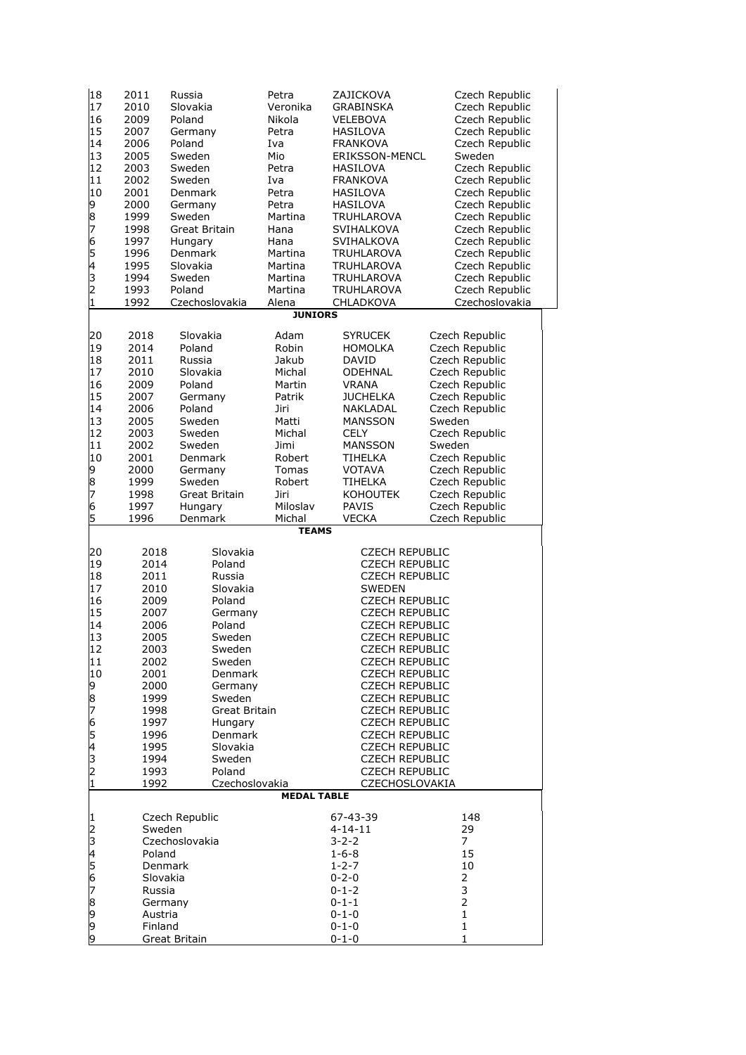| 18          | 2011     | Russia               | Petra                   | ZAJICKOVA             | Czech Republic |
|-------------|----------|----------------------|-------------------------|-----------------------|----------------|
| 17          | 2010     | Slovakia             | Veronika                | GRABINSKA             | Czech Republic |
| 16          | 2009     | Poland               | Nikola                  | VELEBOVA              | Czech Republic |
| 15          | 2007     | Germany              | Petra                   | HASILOVA              | Czech Republic |
| 14          | 2006     | Poland               | Iva                     | <b>FRANKOVA</b>       | Czech Republic |
| 13          | 2005     | Sweden               | Mio                     | <b>ERIKSSON-MENCL</b> | Sweden         |
| 12          | 2003     | Sweden               | Petra                   | HASILOVA              | Czech Republic |
| 11          | 2002     | Sweden               | Iva                     | FRANKOVA              | Czech Republic |
| 10          | 2001     | Denmark              | Petra                   | HASILOVA              | Czech Republic |
|             | 2000     | Germany              | Petra                   | HASILOVA              | Czech Republic |
|             | 1999     | Sweden               | Martina                 | TRUHLAROVA            | Czech Republic |
| 987654321   | 1998     | <b>Great Britain</b> | Hana                    | SVIHALKOVA            | Czech Republic |
|             | 1997     | Hungary              | Hana                    | SVIHALKOVA            | Czech Republic |
|             | 1996     | Denmark              | Martina                 | <b>TRUHLAROVA</b>     | Czech Republic |
|             | 1995     | Slovakia             | Martina                 | <b>TRUHLAROVA</b>     | Czech Republic |
|             | 1994     | Sweden               | Martina                 | TRUHLAROVA            | Czech Republic |
|             | 1993     | Poland               | Martina                 | TRUHLAROVA            | Czech Republic |
|             | 1992     | Czechoslovakia       | Alena<br><b>JUNIORS</b> | CHLADKOVA             | Czechoslovakia |
|             |          |                      |                         |                       |                |
| 20          | 2018     | Slovakia             | Adam                    | <b>SYRUCEK</b>        | Czech Republic |
| 19          | 2014     | Poland               | Robin                   | <b>HOMOLKA</b>        | Czech Republic |
| 18          | 2011     | Russia               | Jakub                   | DAVID                 | Czech Republic |
| 17          | 2010     | Slovakia             | Michal                  | ODEHNAL               | Czech Republic |
| 16          | 2009     | Poland               | Martin                  | VRANA                 | Czech Republic |
| 15          | 2007     | Germany              | Patrik                  | <b>JUCHELKA</b>       | Czech Republic |
| 14          | 2006     | Poland               | Jiri                    | NAKLADAL              | Czech Republic |
| 13          | 2005     | Sweden               | Matti                   | <b>MANSSON</b>        | Sweden         |
| 12          | 2003     | Sweden               | Michal                  | <b>CELY</b>           | Czech Republic |
| 11          | 2002     | Sweden               | Jimi                    | <b>MANSSON</b>        | Sweden         |
| 10          | 2001     | Denmark              | Robert                  | TIHELKA               | Czech Republic |
| 98765       | 2000     | Germany              | Tomas                   | <b>VOTAVA</b>         | Czech Republic |
|             | 1999     | Sweden               | Robert                  | TIHELKA               | Czech Republic |
|             | 1998     | Great Britain        | Jiri                    | <b>KOHOUTEK</b>       | Czech Republic |
|             | 1997     | Hungary              | Miloslav                | PAVIS                 | Czech Republic |
|             | 1996     | Denmark              | Michal                  | <b>VECKA</b>          | Czech Republic |
|             |          |                      | <b>TEAMS</b>            |                       |                |
| 20          | 2018     | Slovakia             |                         | <b>CZECH REPUBLIC</b> |                |
| 19          | 2014     | Poland               |                         | <b>CZECH REPUBLIC</b> |                |
| 18          | 2011     | Russia               |                         | <b>CZECH REPUBLIC</b> |                |
| 17          | 2010     | Slovakia             |                         | <b>SWEDEN</b>         |                |
| 16          | 2009     | Poland               |                         | <b>CZECH REPUBLIC</b> |                |
| 15          | 2007     | Germany              |                         | <b>CZECH REPUBLIC</b> |                |
| 14          | 2006     | Poland               |                         | <b>CZECH REPUBLIC</b> |                |
| 13          | 2005     | Sweden               |                         | <b>CZECH REPUBLIC</b> |                |
| 12          | 2003     | Sweden               |                         | <b>CZECH REPUBLIC</b> |                |
| 11          | 2002     | Sweden               |                         | <b>CZECH REPUBLIC</b> |                |
| 10          | 2001     | Denmark              |                         | <b>CZECH REPUBLIC</b> |                |
|             | 2000     | Germany              |                         | <b>CZECH REPUBLIC</b> |                |
|             | 1999     | Sweden               |                         | <b>CZECH REPUBLIC</b> |                |
|             | 1998     | Great Britain        |                         | <b>CZECH REPUBLIC</b> |                |
|             | 1997     | Hungary              |                         | <b>CZECH REPUBLIC</b> |                |
|             | 1996     | Denmark              |                         | <b>CZECH REPUBLIC</b> |                |
|             | 1995     | Slovakia             |                         | <b>CZECH REPUBLIC</b> |                |
|             | 1994     | Sweden               |                         | <b>CZECH REPUBLIC</b> |                |
| 987654321   | 1993     | Poland               |                         | <b>CZECH REPUBLIC</b> |                |
|             | 1992     | Czechoslovakia       |                         | CZECHOSLOVAKIA        |                |
|             |          |                      | <b>MEDAL TABLE</b>      |                       |                |
|             |          | Czech Republic       |                         | 67-43-39              | 148            |
|             | Sweden   |                      |                         | $4 - 14 - 11$         | 29             |
|             |          | Czechoslovakia       |                         | 3-2-2                 | 7              |
|             | Poland   |                      |                         | $1 - 6 - 8$           | 15             |
|             | Denmark  |                      |                         | $1 - 2 - 7$           | 10             |
|             | Slovakia |                      |                         | $0 - 2 - 0$           | 2              |
|             | Russia   |                      |                         | $0 - 1 - 2$           | 3              |
|             | Germany  |                      |                         | 0-1-1                 | $\overline{2}$ |
| 12345678999 | Austria  |                      |                         | 0-1-0                 | $\mathbf{1}$   |
|             | Finland  |                      |                         | $0 - 1 - 0$           | $\mathbf{1}$   |
|             |          | Great Britain        |                         | $0 - 1 - 0$           | 1              |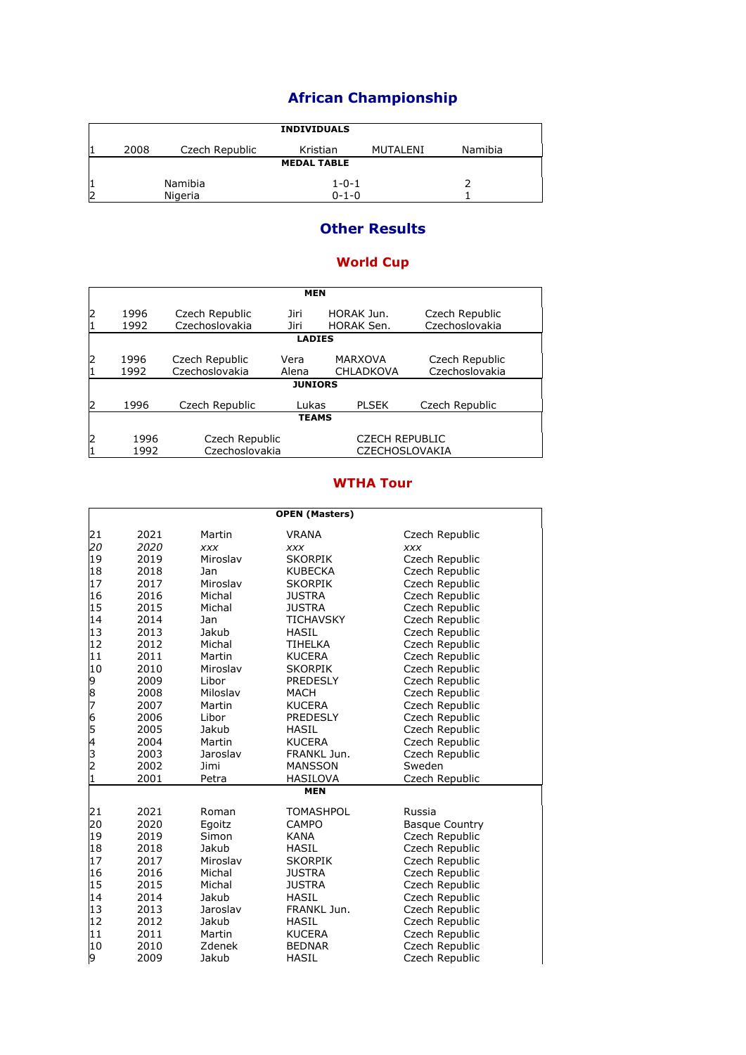## **African Championship**

|    | <b>INDIVIDUALS</b> |                |             |          |         |  |  |  |
|----|--------------------|----------------|-------------|----------|---------|--|--|--|
|    |                    |                |             |          |         |  |  |  |
| 11 | 2008               | Czech Republic | Kristian    | MUTALENI | Namibia |  |  |  |
|    | <b>MEDAL TABLE</b> |                |             |          |         |  |  |  |
|    |                    |                |             |          |         |  |  |  |
| 1  |                    | Namibia        | $1 - 0 - 1$ |          |         |  |  |  |
|    |                    |                |             |          |         |  |  |  |
| 2  |                    | Nigeria        | $0 - 1 - 0$ |          |         |  |  |  |

### **Other Results**

#### **World Cup**

|         | <b>MEN</b>    |                                  |                |                                    |                                  |  |  |  |
|---------|---------------|----------------------------------|----------------|------------------------------------|----------------------------------|--|--|--|
| 2       | 1996          | Czech Republic                   | Jiri           | HORAK Jun.                         | Czech Republic                   |  |  |  |
| 1       | 1992          | Czechoslovakia                   | Jiri           | <b>HORAK Sen.</b>                  | Czechoslovakia                   |  |  |  |
|         | <b>LADIES</b> |                                  |                |                                    |                                  |  |  |  |
| 12<br>1 | 1996<br>1992  | Czech Republic<br>Czechoslovakia | Vera<br>Alena  | <b>MARXOVA</b><br><b>CHLADKOVA</b> | Czech Republic<br>Czechoslovakia |  |  |  |
|         |               |                                  | <b>JUNIORS</b> |                                    |                                  |  |  |  |
| 2       | 1996          | Czech Republic                   | Lukas          | <b>PLSEK</b>                       | Czech Republic                   |  |  |  |
|         | <b>TEAMS</b>  |                                  |                |                                    |                                  |  |  |  |
| 2       | 1996          | Czech Republic                   |                | <b>CZECH REPUBLIC</b>              |                                  |  |  |  |
| 1       | 1992          | Czechoslovakia                   |                | <b>CZECHOSLOVAKIA</b>              |                                  |  |  |  |

#### **WTHA Tour**

|           | <b>OPEN (Masters)</b> |            |                  |                       |  |  |  |
|-----------|-----------------------|------------|------------------|-----------------------|--|--|--|
| 21        | 2021                  | Martin     | <b>VRANA</b>     | Czech Republic        |  |  |  |
| 20        | 2020                  | <b>XXX</b> | <b>XXX</b>       | XXX                   |  |  |  |
| 19        | 2019                  | Miroslav   | <b>SKORPIK</b>   | Czech Republic        |  |  |  |
| 18        | 2018                  | Jan        | <b>KUBECKA</b>   | Czech Republic        |  |  |  |
| 17        | 2017                  | Miroslav   | <b>SKORPIK</b>   | Czech Republic        |  |  |  |
| 16        | 2016                  | Michal     | <b>JUSTRA</b>    | Czech Republic        |  |  |  |
| 15        | 2015                  | Michal     | <b>JUSTRA</b>    | Czech Republic        |  |  |  |
| 14        | 2014                  | Jan        | <b>TICHAVSKY</b> | Czech Republic        |  |  |  |
| 13        | 2013                  | Jakub      | <b>HASIL</b>     | Czech Republic        |  |  |  |
| 12        | 2012                  | Michal     | <b>TIHELKA</b>   | Czech Republic        |  |  |  |
| 11        | 2011                  | Martin     | <b>KUCERA</b>    | Czech Republic        |  |  |  |
| 10        | 2010                  | Miroslav   | <b>SKORPIK</b>   | Czech Republic        |  |  |  |
|           | 2009                  | Libor      | <b>PREDESLY</b>  | Czech Republic        |  |  |  |
|           | 2008                  | Miloslav   | MACH             | Czech Republic        |  |  |  |
| 987654321 | 2007                  | Martin     | <b>KUCERA</b>    | Czech Republic        |  |  |  |
|           | 2006                  | Libor      | <b>PREDESLY</b>  | Czech Republic        |  |  |  |
|           | 2005                  | Jakub      | <b>HASIL</b>     | Czech Republic        |  |  |  |
|           | 2004                  | Martin     | <b>KUCERA</b>    | Czech Republic        |  |  |  |
|           | 2003                  | Jaroslav   | FRANKL Jun.      | Czech Republic        |  |  |  |
|           | 2002                  | Jimi       | <b>MANSSON</b>   | Sweden                |  |  |  |
|           | 2001                  | Petra      | HASILOVA         | Czech Republic        |  |  |  |
|           |                       |            | <b>MEN</b>       |                       |  |  |  |
| 21        | 2021                  | Roman      | <b>TOMASHPOL</b> | Russia                |  |  |  |
| 20        | 2020                  | Egoitz     | <b>CAMPO</b>     | <b>Basque Country</b> |  |  |  |
| 19        | 2019                  | Simon      | <b>KANA</b>      | Czech Republic        |  |  |  |
| 18        | 2018                  | Jakub      | <b>HASIL</b>     | Czech Republic        |  |  |  |
| 17        | 2017                  | Miroslav   | <b>SKORPIK</b>   | Czech Republic        |  |  |  |
| 16        | 2016                  | Michal     | <b>JUSTRA</b>    | Czech Republic        |  |  |  |
| 15        | 2015                  | Michal     | <b>JUSTRA</b>    | Czech Republic        |  |  |  |
| 14        | 2014                  | Jakub      | <b>HASIL</b>     | Czech Republic        |  |  |  |
| 13        | 2013                  | Jaroslav   | FRANKL Jun.      | Czech Republic        |  |  |  |
| 12        | 2012                  | Jakub      | <b>HASIL</b>     | Czech Republic        |  |  |  |
| 11        | 2011                  | Martin     | <b>KUCERA</b>    | Czech Republic        |  |  |  |
| 10        | 2010                  | Zdenek     | <b>BEDNAR</b>    | Czech Republic        |  |  |  |
| 9         | 2009                  | Jakub      | <b>HASIL</b>     | Czech Republic        |  |  |  |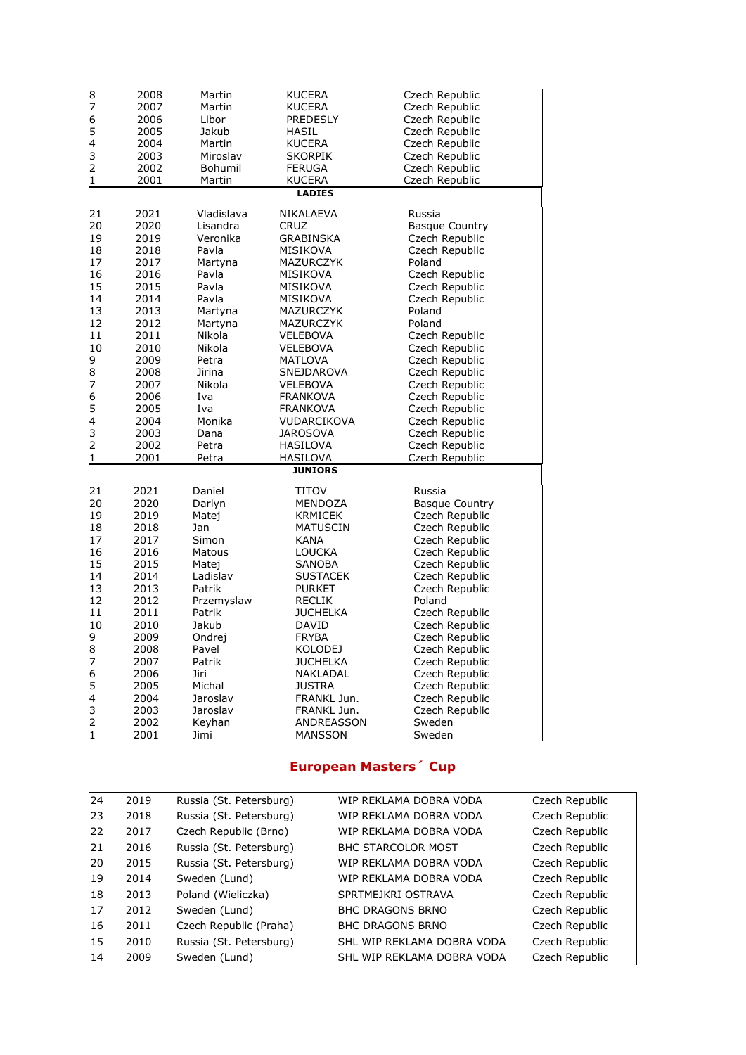| 8<br>7<br>65432<br>1                                                                      | 2008<br>2007<br>2006<br>2005<br>2004<br>2003<br>2002<br>2001                                                                                                         | Martin<br>Martin<br>Libor<br>Jakub<br>Martin<br>Miroslav<br>Bohumil<br>Martin                                                                                                                                | <b>KUCERA</b><br><b>KUCERA</b><br><b>PREDESLY</b><br>HASIL<br><b>KUCERA</b><br><b>SKORPIK</b><br><b>FERUGA</b><br><b>KUCERA</b><br><b>LADIES</b>                                                                                                                                                            | Czech Republic<br>Czech Republic<br>Czech Republic<br>Czech Republic<br>Czech Republic<br>Czech Republic<br>Czech Republic<br>Czech Republic                                                                                                                                                                                                                  |
|-------------------------------------------------------------------------------------------|----------------------------------------------------------------------------------------------------------------------------------------------------------------------|--------------------------------------------------------------------------------------------------------------------------------------------------------------------------------------------------------------|-------------------------------------------------------------------------------------------------------------------------------------------------------------------------------------------------------------------------------------------------------------------------------------------------------------|---------------------------------------------------------------------------------------------------------------------------------------------------------------------------------------------------------------------------------------------------------------------------------------------------------------------------------------------------------------|
|                                                                                           |                                                                                                                                                                      |                                                                                                                                                                                                              |                                                                                                                                                                                                                                                                                                             |                                                                                                                                                                                                                                                                                                                                                               |
| 21<br>20<br>19<br>18<br>17<br>16<br>15<br>14<br>13<br>12<br>11<br>10<br>98765432          | 2021<br>2020<br>2019<br>2018<br>2017<br>2016<br>2015<br>2014<br>2013<br>2012<br>2011<br>2010<br>2009<br>2008<br>2007<br>2006<br>2005<br>2004<br>2003<br>2002         | Vladislava<br>Lisandra<br>Veronika<br>Pavla<br>Martyna<br>Pavla<br>Pavla<br>Pavla<br>Martyna<br>Martyna<br>Nikola<br>Nikola<br>Petra<br>Jirina<br>Nikola<br>Iva<br>Iva<br>Monika<br>Dana<br>Petra            | NIKALAEVA<br><b>CRUZ</b><br>GRABINSKA<br>MISIKOVA<br>MAZURCZYK<br>MISIKOVA<br>MISIKOVA<br>MISIKOVA<br>MAZURCZYK<br>MAZURCZYK<br>VELEBOVA<br>VELEBOVA<br>MATLOVA<br>SNEJDAROVA<br>VELEBOVA<br><b>FRANKOVA</b><br><b>FRANKOVA</b><br>VUDARCIKOVA<br><b>JAROSOVA</b><br><b>HASILOVA</b>                        | Russia<br><b>Basque Country</b><br>Czech Republic<br>Czech Republic<br>Poland<br>Czech Republic<br>Czech Republic<br>Czech Republic<br>Poland<br>Poland<br>Czech Republic<br>Czech Republic<br>Czech Republic<br>Czech Republic<br>Czech Republic<br>Czech Republic<br>Czech Republic<br>Czech Republic<br>Czech Republic<br>Czech Republic                   |
| 1                                                                                         | 2001                                                                                                                                                                 | Petra                                                                                                                                                                                                        | HASILOVA<br><b>JUNIORS</b>                                                                                                                                                                                                                                                                                  | Czech Republic                                                                                                                                                                                                                                                                                                                                                |
|                                                                                           |                                                                                                                                                                      |                                                                                                                                                                                                              |                                                                                                                                                                                                                                                                                                             |                                                                                                                                                                                                                                                                                                                                                               |
| 21<br>20<br>19<br>18<br>17<br>16<br>15<br>14<br>13<br>12<br>11<br>10<br>9<br>8<br>7654321 | 2021<br>2020<br>2019<br>2018<br>2017<br>2016<br>2015<br>2014<br>2013<br>2012<br>2011<br>2010<br>2009<br>2008<br>2007<br>2006<br>2005<br>2004<br>2003<br>2002<br>2001 | Daniel<br>Darlyn<br>Matej<br>Jan<br>Simon<br>Matous<br>Matej<br>Ladislav<br>Patrik<br>Przemyslaw<br>Patrik<br>Jakub<br>Ondrej<br>Pavel<br>Patrik<br>Jiri<br>Michal<br>Jaroslav<br>Jaroslav<br>Keyhan<br>Jimi | TITOV<br>MENDOZA<br>KRMICEK<br><b>MATUSCIN</b><br>KANA<br><b>LOUCKA</b><br>SANOBA<br><b>SUSTACEK</b><br><b>PURKET</b><br><b>RECLIK</b><br><b>JUCHELKA</b><br>DAVID<br><b>FRYBA</b><br><b>KOLODEJ</b><br><b>JUCHELKA</b><br>NAKLADAL<br><b>JUSTRA</b><br>FRANKL Jun.<br>FRANKL Jun.<br>ANDREASSON<br>MANSSON | Russia<br><b>Basque Country</b><br>Czech Republic<br>Czech Republic<br>Czech Republic<br>Czech Republic<br>Czech Republic<br>Czech Republic<br>Czech Republic<br>Poland<br>Czech Republic<br>Czech Republic<br>Czech Republic<br>Czech Republic<br>Czech Republic<br>Czech Republic<br>Czech Republic<br>Czech Republic<br>Czech Republic<br>Sweden<br>Sweden |

## **European Masters´ Cup**

| 24 | 2019 | Russia (St. Petersburg) | WIP REKLAMA DOBRA VODA     | Czech Republic |
|----|------|-------------------------|----------------------------|----------------|
| 23 | 2018 | Russia (St. Petersburg) | WIP REKLAMA DOBRA VODA     | Czech Republic |
| 22 | 2017 | Czech Republic (Brno)   | WIP REKLAMA DOBRA VODA     | Czech Republic |
| 21 | 2016 | Russia (St. Petersburg) | <b>BHC STARCOLOR MOST</b>  | Czech Republic |
| 20 | 2015 | Russia (St. Petersburg) | WIP REKLAMA DOBRA VODA     | Czech Republic |
| 19 | 2014 | Sweden (Lund)           | WIP REKLAMA DOBRA VODA     | Czech Republic |
| 18 | 2013 | Poland (Wieliczka)      | SPRTMEJKRI OSTRAVA         | Czech Republic |
| 17 | 2012 | Sweden (Lund)           | <b>BHC DRAGONS BRNO</b>    | Czech Republic |
| 16 | 2011 | Czech Republic (Praha)  | <b>BHC DRAGONS BRNO</b>    | Czech Republic |
| 15 | 2010 | Russia (St. Petersburg) | SHL WIP REKLAMA DOBRA VODA | Czech Republic |
| 14 | 2009 | Sweden (Lund)           | SHL WIP REKLAMA DOBRA VODA | Czech Republic |
|    |      |                         |                            |                |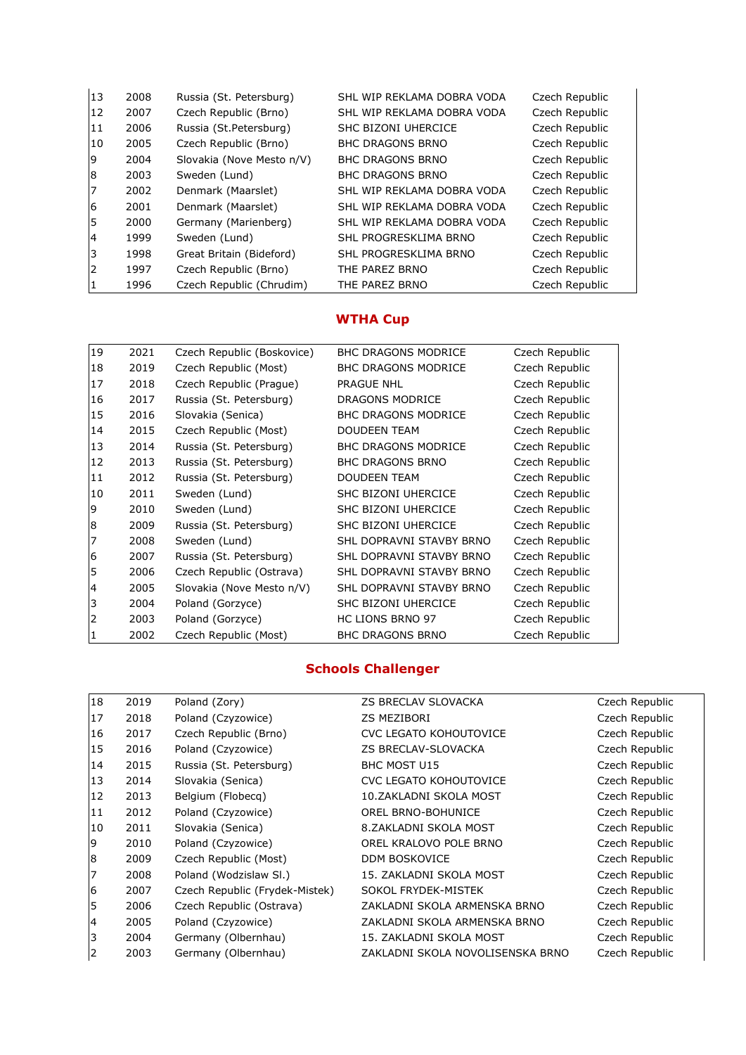| 13 | 2008 | Russia (St. Petersburg)   | SHL WIP REKLAMA DOBRA VODA | Czech Republic |
|----|------|---------------------------|----------------------------|----------------|
| 12 | 2007 | Czech Republic (Brno)     | SHL WIP REKLAMA DOBRA VODA | Czech Republic |
| 11 | 2006 | Russia (St.Petersburg)    | SHC BIZONI UHERCICE        | Czech Republic |
| 10 | 2005 | Czech Republic (Brno)     | <b>BHC DRAGONS BRNO</b>    | Czech Republic |
| 19 | 2004 | Slovakia (Nove Mesto n/V) | <b>BHC DRAGONS BRNO</b>    | Czech Republic |
| 8  | 2003 | Sweden (Lund)             | <b>BHC DRAGONS BRNO</b>    | Czech Republic |
| 17 | 2002 | Denmark (Maarslet)        | SHL WIP REKLAMA DOBRA VODA | Czech Republic |
| 6  | 2001 | Denmark (Maarslet)        | SHL WIP REKLAMA DOBRA VODA | Czech Republic |
| I5 | 2000 | Germany (Marienberg)      | SHL WIP REKLAMA DOBRA VODA | Czech Republic |
| 14 | 1999 | Sweden (Lund)             | SHL PROGRESKLIMA BRNO      | Czech Republic |
| l3 | 1998 | Great Britain (Bideford)  | SHL PROGRESKLIMA BRNO      | Czech Republic |
| l2 | 1997 | Czech Republic (Brno)     | THE PAREZ BRNO             | Czech Republic |
| 11 | 1996 | Czech Republic (Chrudim)  | THE PAREZ BRNO             | Czech Republic |

#### **WTHA Cup**

| 19             | 2021 | Czech Republic (Boskovice) | <b>BHC DRAGONS MODRICE</b> | Czech Republic |
|----------------|------|----------------------------|----------------------------|----------------|
| 18             | 2019 | Czech Republic (Most)      | <b>BHC DRAGONS MODRICE</b> | Czech Republic |
| 17             | 2018 | Czech Republic (Prague)    | <b>PRAGUE NHL</b>          | Czech Republic |
| 16             | 2017 | Russia (St. Petersburg)    | <b>DRAGONS MODRICE</b>     | Czech Republic |
| 15             | 2016 | Slovakia (Senica)          | <b>BHC DRAGONS MODRICE</b> | Czech Republic |
| 14             | 2015 | Czech Republic (Most)      | <b>DOUDEEN TEAM</b>        | Czech Republic |
| 13             | 2014 | Russia (St. Petersburg)    | <b>BHC DRAGONS MODRICE</b> | Czech Republic |
| 12             | 2013 | Russia (St. Petersburg)    | <b>BHC DRAGONS BRNO</b>    | Czech Republic |
| 11             | 2012 | Russia (St. Petersburg)    | <b>DOUDEEN TEAM</b>        | Czech Republic |
| 10             | 2011 | Sweden (Lund)              | SHC BIZONI UHERCICE        | Czech Republic |
| 9              | 2010 | Sweden (Lund)              | SHC BIZONI UHERCICE        | Czech Republic |
| 8              | 2009 | Russia (St. Petersburg)    | SHC BIZONI UHERCICE        | Czech Republic |
| 7              | 2008 | Sweden (Lund)              | SHL DOPRAVNI STAVBY BRNO   | Czech Republic |
| 6              | 2007 | Russia (St. Petersburg)    | SHL DOPRAVNI STAVBY BRNO   | Czech Republic |
| 5              | 2006 | Czech Republic (Ostrava)   | SHL DOPRAVNI STAVBY BRNO   | Czech Republic |
| $\overline{4}$ | 2005 | Slovakia (Nove Mesto n/V)  | SHL DOPRAVNI STAVBY BRNO   | Czech Republic |
| 3              | 2004 | Poland (Gorzyce)           | SHC BIZONI UHERCICE        | Czech Republic |
| 2              | 2003 | Poland (Gorzyce)           | <b>HC LIONS BRNO 97</b>    | Czech Republic |
| $\mathbf{1}$   | 2002 | Czech Republic (Most)      | <b>BHC DRAGONS BRNO</b>    | Czech Republic |

## **Schools Challenger**

| 18 | 2019 | Poland (Zory)                  | <b>ZS BRECLAV SLOVACKA</b>       | Czech Republic |
|----|------|--------------------------------|----------------------------------|----------------|
| 17 | 2018 | Poland (Czyzowice)             | <b>ZS MEZIBORI</b>               | Czech Republic |
| 16 | 2017 | Czech Republic (Brno)          | <b>CVC LEGATO KOHOUTOVICE</b>    | Czech Republic |
| 15 | 2016 | Poland (Czyzowice)             | ZS BRECLAV-SLOVACKA              | Czech Republic |
| 14 | 2015 | Russia (St. Petersburg)        | <b>BHC MOST U15</b>              | Czech Republic |
| 13 | 2014 | Slovakia (Senica)              | <b>CVC LEGATO KOHOUTOVICE</b>    | Czech Republic |
| 12 | 2013 | Belgium (Flobecg)              | 10. ZAKLADNI SKOLA MOST          | Czech Republic |
| 11 | 2012 | Poland (Czyzowice)             | OREL BRNO-BOHUNICE               | Czech Republic |
| 10 | 2011 | Slovakia (Senica)              | 8.ZAKLADNI SKOLA MOST            | Czech Republic |
| Ι9 | 2010 | Poland (Czyzowice)             | OREL KRALOVO POLE BRNO           | Czech Republic |
| 8  | 2009 | Czech Republic (Most)          | <b>DDM BOSKOVICE</b>             | Czech Republic |
| 17 | 2008 | Poland (Wodzislaw Sl.)         | 15. ZAKLADNI SKOLA MOST          | Czech Republic |
| 6  | 2007 | Czech Republic (Frydek-Mistek) | SOKOL FRYDEK-MISTEK              | Czech Republic |
| 15 | 2006 | Czech Republic (Ostrava)       | ZAKLADNI SKOLA ARMENSKA BRNO     | Czech Republic |
| 14 | 2005 | Poland (Czyzowice)             | ZAKLADNI SKOLA ARMENSKA BRNO     | Czech Republic |
| 3  | 2004 | Germany (Olbernhau)            | 15. ZAKLADNI SKOLA MOST          | Czech Republic |
| 12 | 2003 | Germany (Olbernhau)            | ZAKLADNI SKOLA NOVOLISENSKA BRNO | Czech Republic |
|    |      |                                |                                  |                |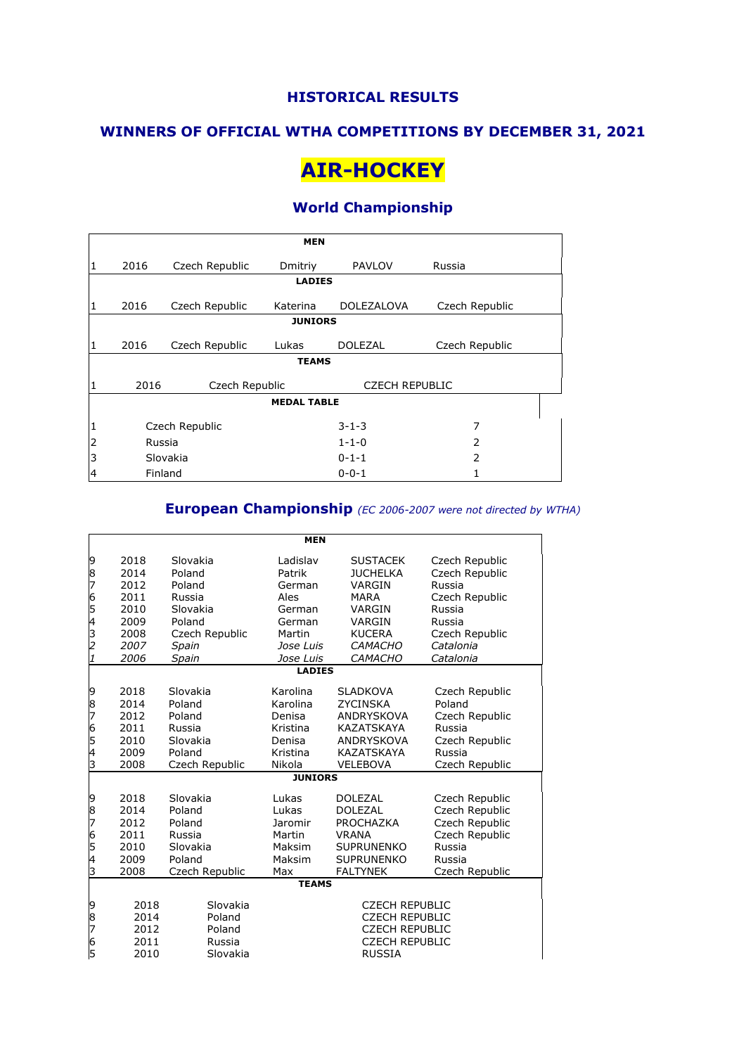#### **WINNERS OF OFFICIAL WTHA COMPETITIONS BY DECEMBER 31, 2021**

## **AIR-HOCKEY**

### **World Championship**

|   | <b>MEN</b>     |                |                    |                       |                |  |  |
|---|----------------|----------------|--------------------|-----------------------|----------------|--|--|
| 1 | 2016           | Czech Republic | Dmitriy            | <b>PAVLOV</b>         | Russia         |  |  |
|   | <b>LADIES</b>  |                |                    |                       |                |  |  |
| 1 | 2016           | Czech Republic | Katerina           | <b>DOLEZALOVA</b>     | Czech Republic |  |  |
|   | <b>JUNIORS</b> |                |                    |                       |                |  |  |
| 1 | 2016           | Czech Republic | Lukas              | <b>DOLEZAL</b>        | Czech Republic |  |  |
|   |                |                | <b>TEAMS</b>       |                       |                |  |  |
|   | 2016           | Czech Republic |                    | <b>CZECH REPUBLIC</b> |                |  |  |
|   |                |                | <b>MEDAL TABLE</b> |                       |                |  |  |
| 1 |                | Czech Republic |                    | $3 - 1 - 3$           | 7              |  |  |
| 2 |                | Russia         |                    | $1 - 1 - 0$           | 2              |  |  |
| 3 |                | Slovakia       |                    | $0 - 1 - 1$           | 2              |  |  |
| 4 |                | Finland        |                    | $0 - 0 - 1$           |                |  |  |

### **European Championship** *(EC 2006-2007 were not directed by WTHA)*

|                                         |      |                | <b>MEN</b>     |                       |                |  |  |
|-----------------------------------------|------|----------------|----------------|-----------------------|----------------|--|--|
| 9                                       | 2018 | Slovakia       | Ladislav       | <b>SUSTACEK</b>       | Czech Republic |  |  |
| 8                                       | 2014 | Poland         | Patrik         | <b>JUCHELKA</b>       | Czech Republic |  |  |
| 7                                       | 2012 | Poland         | German         | VARGIN                | Russia         |  |  |
|                                         | 2011 | Russia         | Ales           | <b>MARA</b>           | Czech Republic |  |  |
| 6<br>5<br>4                             | 2010 | Slovakia       | German         | VARGIN                | Russia         |  |  |
|                                         | 2009 | Poland         | German         | VARGIN                | Russia         |  |  |
|                                         | 2008 | Czech Republic | Martin         | <b>KUCERA</b>         | Czech Republic |  |  |
| $\frac{3}{2}$                           | 2007 | Spain          | Jose Luis      | <b>CAMACHO</b>        | Catalonia      |  |  |
| $\overline{1}$                          | 2006 | Spain          | Jose Luis      | <b>CAMACHO</b>        | Catalonia      |  |  |
|                                         |      |                | <b>LADIES</b>  |                       |                |  |  |
| 9                                       | 2018 | Slovakia       | Karolina       | <b>SLADKOVA</b>       | Czech Republic |  |  |
| 8                                       | 2014 | Poland         | Karolina       | <b>ZYCINSKA</b>       | Poland         |  |  |
| 7                                       | 2012 | Poland         | Denisa         | ANDRYSKOVA            | Czech Republic |  |  |
| 6                                       | 2011 | Russia         | Kristina       | <b>KAZATSKAYA</b>     | Russia         |  |  |
| 5                                       | 2010 | Slovakia       | Denisa         | <b>ANDRYSKOVA</b>     | Czech Republic |  |  |
| 4                                       | 2009 | Poland         | Kristina       | <b>KAZATSKAYA</b>     | Russia         |  |  |
| З                                       | 2008 | Czech Republic | Nikola         | <b>VELEBOVA</b>       | Czech Republic |  |  |
|                                         |      |                | <b>JUNIORS</b> |                       |                |  |  |
| 9                                       | 2018 | Slovakia       | Lukas          | <b>DOLEZAL</b>        | Czech Republic |  |  |
|                                         | 2014 | Poland         | Lukas          | <b>DOLEZAL</b>        | Czech Republic |  |  |
| $\begin{array}{c}\n8 \\ 7\n\end{array}$ | 2012 | Poland         | Jaromir        | <b>PROCHAZKA</b>      | Czech Republic |  |  |
|                                         | 2011 | Russia         | Martin         | <b>VRANA</b>          | Czech Republic |  |  |
| 6<br>5<br>4                             | 2010 | Slovakia       | Maksim         | <b>SUPRUNENKO</b>     | Russia         |  |  |
|                                         | 2009 | Poland         | Maksim         | <b>SUPRUNENKO</b>     | Russia         |  |  |
| З                                       | 2008 | Czech Republic | Max            | <b>FALTYNEK</b>       | Czech Republic |  |  |
|                                         |      |                | <b>TEAMS</b>   |                       |                |  |  |
| 9                                       | 2018 | Slovakia       |                | <b>CZECH REPUBLIC</b> |                |  |  |
| 8                                       | 2014 | Poland         |                | <b>CZECH REPUBLIC</b> |                |  |  |
| 7                                       | 2012 | Poland         |                | <b>CZECH REPUBLIC</b> |                |  |  |
| 6                                       | 2011 | Russia         |                | <b>CZECH REPUBLIC</b> |                |  |  |
| 5                                       | 2010 | Slovakia       |                | <b>RUSSIA</b>         |                |  |  |
|                                         |      |                |                |                       |                |  |  |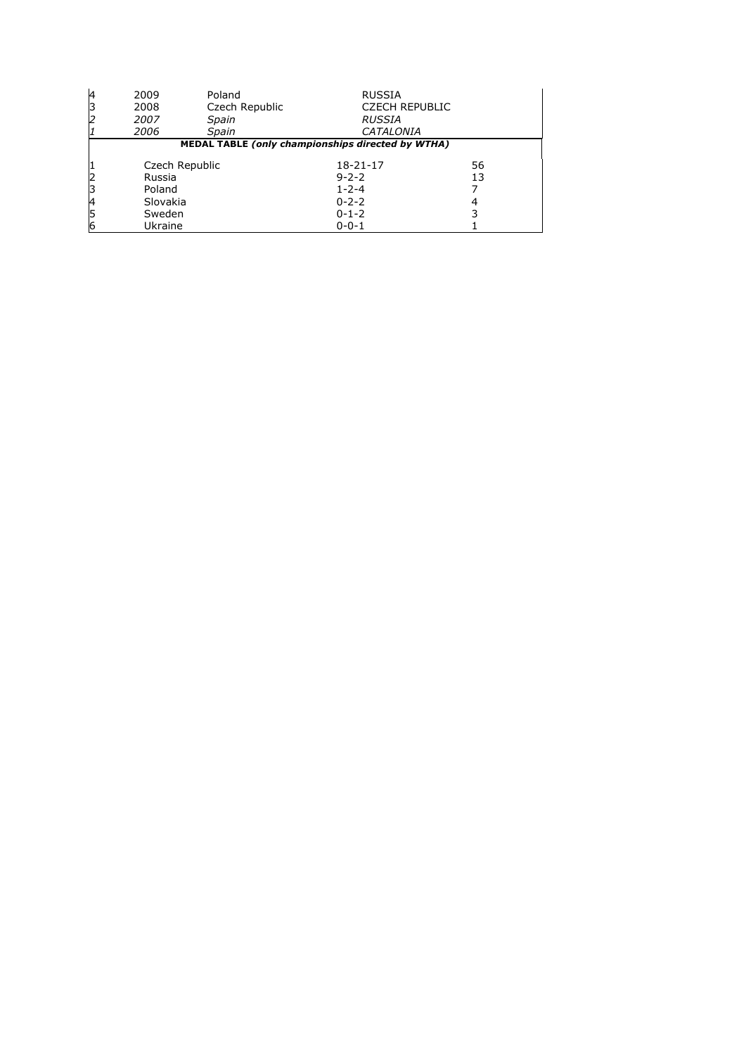| 14 | 2009           | Poland                                            | <b>RUSSIA</b>         |    |
|----|----------------|---------------------------------------------------|-----------------------|----|
|    | 2008           | Czech Republic                                    | <b>CZECH REPUBLIC</b> |    |
|    | 2007           | Spain                                             | <b>RUSSIA</b>         |    |
|    | 2006           | Spain                                             | <b>CATALONIA</b>      |    |
|    |                | MEDAL TABLE (only championships directed by WTHA) |                       |    |
|    |                |                                                   |                       |    |
|    | Czech Republic |                                                   | $18 - 21 - 17$        | 56 |
|    | Russia         |                                                   | $9 - 2 - 2$           | 13 |
|    | Poland         |                                                   | $1 - 2 - 4$           |    |
|    | Slovakia       |                                                   | $0 - 2 - 2$           | 4  |
|    | Sweden         |                                                   | $0 - 1 - 2$           |    |
|    | Ukraine        |                                                   | $0 - 0 - 1$           |    |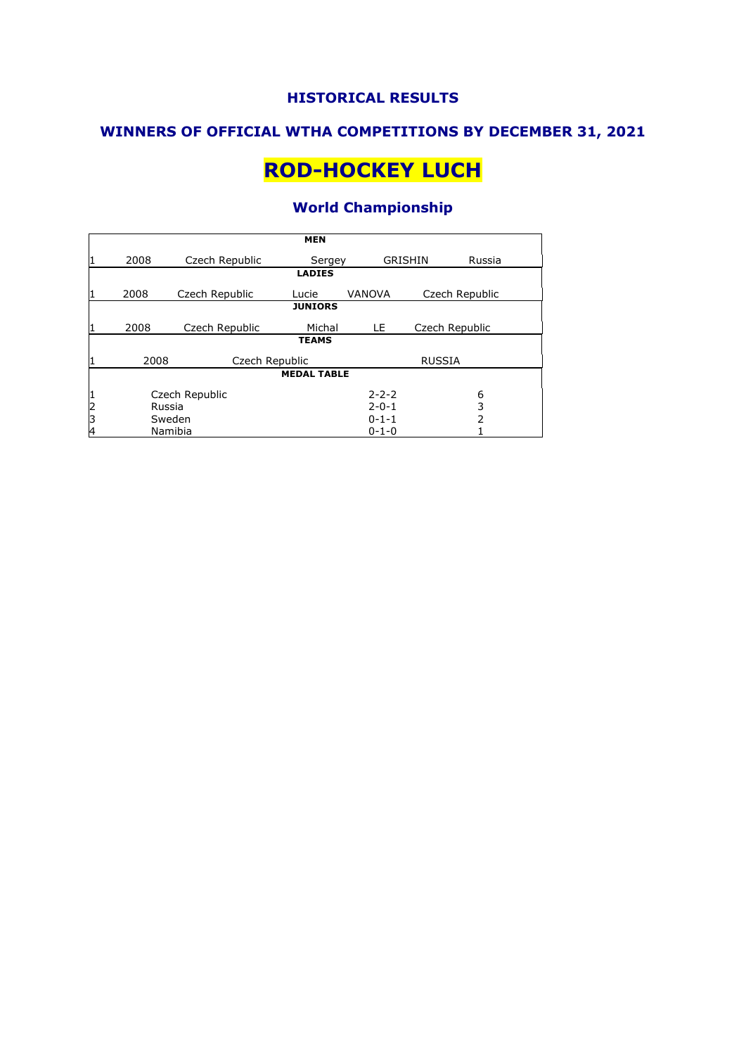#### **WINNERS OF OFFICIAL WTHA COMPETITIONS BY DECEMBER 31, 2021**

# **ROD-HOCKEY LUCH**

## **World Championship**

|               | <b>MEN</b> |                |                    |                |                |        |
|---------------|------------|----------------|--------------------|----------------|----------------|--------|
|               | 2008       | Czech Republic | Sergey             | <b>GRISHIN</b> |                | Russia |
|               |            |                | <b>LADIES</b>      |                |                |        |
|               | 2008       | Czech Republic | Lucie              | <b>VANOVA</b>  | Czech Republic |        |
|               |            |                | <b>JUNIORS</b>     |                |                |        |
|               | 2008       | Czech Republic | Michal             | LE.            | Czech Republic |        |
|               |            |                | <b>TEAMS</b>       |                |                |        |
|               | 2008       | Czech Republic |                    |                | <b>RUSSIA</b>  |        |
|               |            |                | <b>MEDAL TABLE</b> |                |                |        |
| 1             |            | Czech Republic |                    | $2 - 2 - 2$    |                | 6      |
| $\frac{2}{3}$ | Russia     |                |                    | $2 - 0 - 1$    |                | 3      |
| Sweden        |            |                | $0 - 1 - 1$        |                | $\overline{2}$ |        |
| 4             |            | Namibia        |                    | $0 - 1 - 0$    |                |        |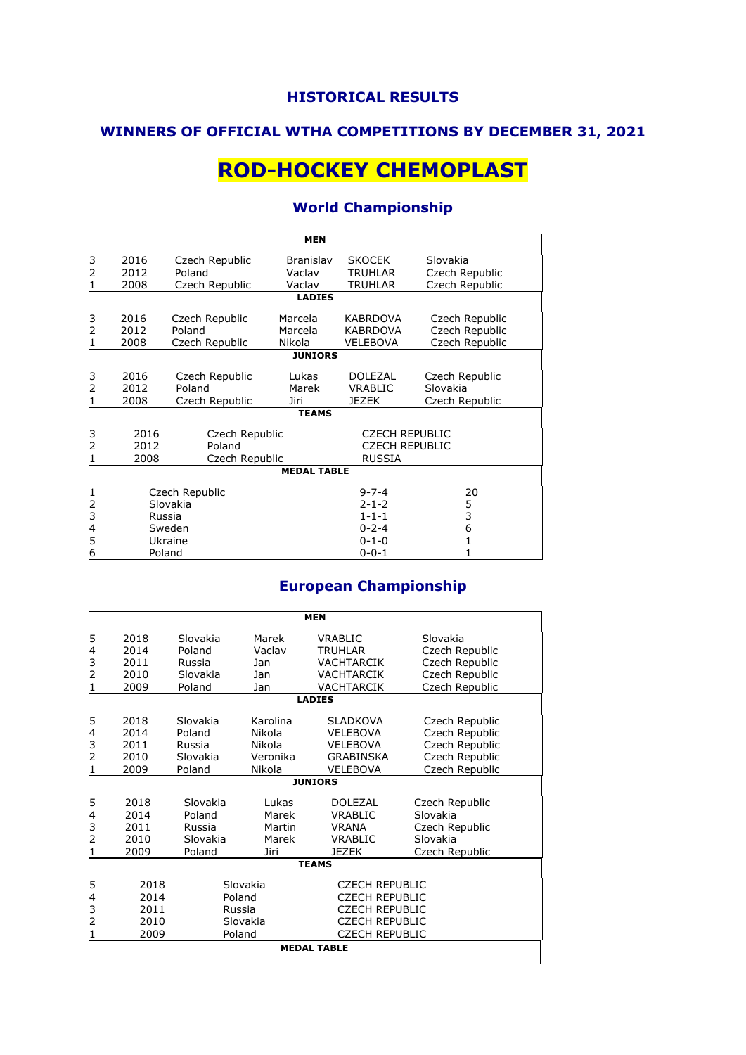## **WINNERS OF OFFICIAL WTHA COMPETITIONS BY DECEMBER 31, 2021**

# **ROD-HOCKEY CHEMOPLAST**

## **World Championship**

|                                                                         | <b>MEN</b>                           |                                            |                                           |                                                                 |                                                    |  |  |  |
|-------------------------------------------------------------------------|--------------------------------------|--------------------------------------------|-------------------------------------------|-----------------------------------------------------------------|----------------------------------------------------|--|--|--|
| 3                                                                       | 2016<br>2012<br>2008                 | Czech Republic<br>Poland<br>Czech Republic | <b>Branislav</b><br>Vaclav<br>Vaclav      | <b>SKOCEK</b><br><b>TRUHLAR</b><br><b>TRUHLAR</b>               | Slovakia<br>Czech Republic<br>Czech Republic       |  |  |  |
|                                                                         | <b>LADIES</b>                        |                                            |                                           |                                                                 |                                                    |  |  |  |
| З<br>2                                                                  | 2016<br>2012<br>2008                 | Czech Republic<br>Poland<br>Czech Republic | Marcela<br>Marcela<br>Nikola              | <b>KABRDOVA</b><br><b>KABRDOVA</b><br><b>VELEBOVA</b>           | Czech Republic<br>Czech Republic<br>Czech Republic |  |  |  |
|                                                                         | <b>JUNIORS</b>                       |                                            |                                           |                                                                 |                                                    |  |  |  |
| 3<br>2                                                                  | 2016<br>2012<br>2008                 | Czech Republic<br>Poland<br>Czech Republic | Lukas<br>Marek<br>Jiri                    | <b>DOLEZAL</b><br><b>VRABLIC</b><br><b>JEZEK</b>                | Czech Republic<br>Slovakia<br>Czech Republic       |  |  |  |
|                                                                         |                                      |                                            | <b>TEAMS</b>                              |                                                                 |                                                    |  |  |  |
| 3<br>2016<br>Czech Republic<br>Poland<br>2012<br>2008<br>Czech Republic |                                      |                                            |                                           | <b>CZECH REPUBLIC</b><br><b>CZECH REPUBLIC</b><br><b>RUSSIA</b> |                                                    |  |  |  |
|                                                                         |                                      |                                            | <b>MEDAL TABLE</b>                        |                                                                 |                                                    |  |  |  |
| 2<br>3                                                                  | Czech Republic<br>Slovakia<br>Russia |                                            |                                           | $9 - 7 - 4$<br>$2 - 1 - 2$<br>$1 - 1 - 1$                       | 20<br>5<br>3                                       |  |  |  |
| 4<br>Sweden<br>5<br>Ukraine<br>6<br>Poland                              |                                      |                                            | $0 - 2 - 4$<br>$0 - 1 - 0$<br>$0 - 0 - 1$ | 6<br>1<br>$\mathbf{1}$                                          |                                                    |  |  |  |

## **European Championship**

|                | <b>MEN</b>     |          |          |                       |                |  |  |
|----------------|----------------|----------|----------|-----------------------|----------------|--|--|
| 5              | 2018           | Slovakia | Marek    | VRABLIC               | Slovakia       |  |  |
| 4              | 2014           | Poland   | Vaclav   | <b>TRUHLAR</b>        | Czech Republic |  |  |
| 3              | 2011           | Russia   | Jan      | <b>VACHTARCIK</b>     | Czech Republic |  |  |
| $\mathbf 2$    | 2010           | Slovakia | Jan      | <b>VACHTARCIK</b>     | Czech Republic |  |  |
|                | 2009           | Poland   | Jan      | <b>VACHTARCIK</b>     | Czech Republic |  |  |
|                |                |          |          | <b>LADIES</b>         |                |  |  |
| 5              | 2018           | Slovakia | Karolina | <b>SLADKOVA</b>       | Czech Republic |  |  |
| 4              | 2014           | Poland   | Nikola   | <b>VELEBOVA</b>       | Czech Republic |  |  |
| 3              | 2011           | Russia   | Nikola   | <b>VELEBOVA</b>       | Czech Republic |  |  |
| $\overline{c}$ | 2010           | Slovakia | Veronika | <b>GRABINSKA</b>      | Czech Republic |  |  |
|                | 2009           | Poland   | Nikola   | VELEBOVA              | Czech Republic |  |  |
|                | <b>JUNIORS</b> |          |          |                       |                |  |  |
| 5              | 2018           | Slovakia | Lukas    | <b>DOLEZAL</b>        | Czech Republic |  |  |
| 4              | 2014           | Poland   | Marek    | VRABLIC               | Slovakia       |  |  |
| 3              | 2011           | Russia   | Martin   | <b>VRANA</b>          | Czech Republic |  |  |
| 2              | 2010           | Slovakia | Marek    | VRABLIC               | Slovakia       |  |  |
|                | 2009           | Poland   | Jiri     | <b>JEZEK</b>          | Czech Republic |  |  |
|                |                |          |          | <b>TEAMS</b>          |                |  |  |
| 5              | 2018           | Slovakia |          | <b>CZECH REPUBLIC</b> |                |  |  |
| 4              | 2014           | Poland   |          | <b>CZECH REPUBLIC</b> |                |  |  |
| 3              | 2011           | Russia   |          | <b>CZECH REPUBLIC</b> |                |  |  |
| $\overline{c}$ | 2010           | Slovakia |          | <b>CZECH REPUBLIC</b> |                |  |  |
|                | 2009           | Poland   |          | <b>CZECH REPUBLIC</b> |                |  |  |
|                |                |          |          | <b>MEDAL TABLE</b>    |                |  |  |
|                |                |          |          |                       |                |  |  |